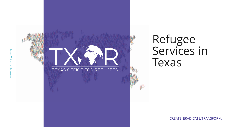

# TEXAS OFFICE FOR REFUGEES

# Refugee Services in Texas

CREATE. ERADICATE. TRANSFORM.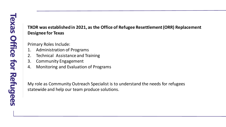## **TXOR was established in 2021, as the Office of Refugee Resettlement (ORR) Replacement Designee for Texas**

Primary Roles Include:

- 1. Administration of Programs
- 2. Technical Assistance and Training
- 3. Community Engagement
- 4. Monitoring and Evaluation of Programs

My role as Community Outreach Specialist is to understand the needs for refugees statewide and help our team produce solutions.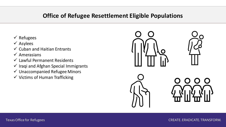# **Office of Refugee Resettlement Eligible Populations**

- ✓ Refugees
- ✓ Asylees
- $\checkmark$  Cuban and Haitian Entrants
- $\checkmark$  Amerasians
- $\checkmark$  Lawful Permanent Residents
- $\checkmark$  Iraqi and Afghan Special Immigrants
- $\checkmark$  Unaccompanied Refugee Minors
- $\checkmark$  Victims of Human Trafficking

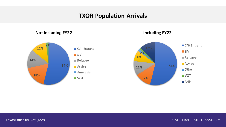# **TXOR Population Arrivals**

**Not Including FY22 Including FY22**





Texas Office for Refugees and the control of the case of the case of the case of the case of the case of the case of the case of the case of the case of the case of the case of the case of the case of the case of the case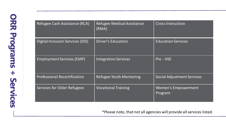| Refugee Cash Assistance (RCA)       | <b>Refugee Medical Assistance</b><br>(RMA) | <b>Civics Instruction</b>             |
|-------------------------------------|--------------------------------------------|---------------------------------------|
| Digital Inclusion Services (DIS)    | <b>Driver's Education</b>                  | <b>Education Services</b>             |
| <b>Employment Services (EMP)</b>    | <b>Integration Services</b>                | Pre - HSE                             |
| <b>Professional Recertification</b> | Refugee Youth Mentoring                    | <b>Social Adjustment Services</b>     |
| Services for Older Refugees         | <b>Vocational Training</b>                 | <b>Women's Empowerment</b><br>Program |

\*Please note, that not all agencies will provide all services listed.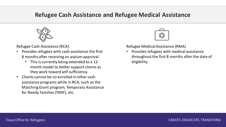# **Refugee Cash Assistance and Refugee Medical Assistance**



Refugee Cash Assistance (RCA)

- Provides refugees with cash assistance the first 8 months after receiving an asylum approval
	- This is currently being extended to a 12 month model to better support clients as they work toward self-sufficiency.
- Clients cannot be co-enrolled in other cash assistance programs while in RCA, such as the Matching Grant program, Temporary Assistance for Needy Families (TANF), etc.



Refugee Medical Assistance (RMA)

• Provides refugees with medical assistance throughout the first 8 months after the date of eligibility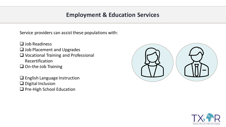# **Employment & Education Services**

Service providers can assist these populations with:

- ❑ Job Readiness
- ❑ Job Placement and Upgrades
- ❑ Vocational Training and Professional Recertification
- ❑ On-the-Job Training

❑ English Language Instruction ❑ Digital Inclusion ❑ Pre-High School Education



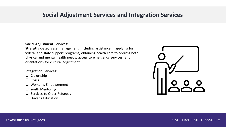# **Social Adjustment Services and Integration Services**

### **Social Adjustment Services:**

Strengths-based case management, including assistance in applying for federal and state support programs, obtaining health care to address both physical and mental health needs, access to emergency services, and orientations for cultural adjustment

### **Integration Services:**

- ❑ Citizenship
- ❑ Civics
- ❑ Women's Empowerment
- ❑ Youth Mentoring
- ❑ Services to Older Refugees
- ❑ Driver's Education



### Texas Office for Refugees CREATE. ERADICATE. TRANSFORM.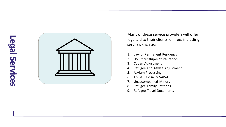

Many of these service providers will offer legal aid to their clients for free, including services such as:

- 1. Lawful Permanent Residency
- 2. US Citizenship/Naturalization
- 3. Cuban Adjustment
- 4. Refugee and Asylee Adjustment
- 5. Asylum Processing
- 6. T Visa, U Visa, & VAWA
- 7. Unaccompanied Minors
- 8. Refugee Family Petitions
- 9. Refugee Travel Documents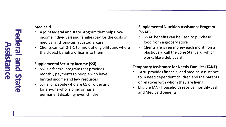### **Medicaid**

- A joint federal and state program that helps lowincome individuals and families pay for the costs of medical and long-term custodial care
- Clients can call 2-1-1 to find out eligibility and where the closest benefits office is to them

### **Supplemental Security Income (SSI)**

- SSI is a federal program that provides monthly payments to people who have limited income and few resources
- SSI is for people who are 65 or older and for anyone who is blind or has a permanent disability, even children

### **Supplemental Nutrition Assistance Program (SNAP)**

- SNAP benefits can be used to purchase food from a grocery store
- Clients are given money each month on a plastic card call the Lone Star card, which works like a debit card

### **Temporary Assistance for Needy Families (TANF)**

- TANF provides financial and medical assistance to in need dependent children and the parents or relatives with whom they are living
- Eligible TANF households receive monthly cash and Medicaid benefits.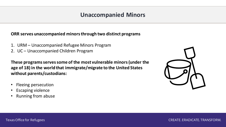# **Unaccompanied Minors**

### **ORR serves unaccompanied minors through two distinct programs**

- 1. URM Unaccompanied Refugee Minors Program
- 2. UC Unaccompanied Children Program

**These programs serves some of the most vulnerable minors (under the age of 18) in the world that immigrate/migrate to the United States without parents/custodians:**

- Fleeing persecution
- **Escaping violence**
- Running from abuse

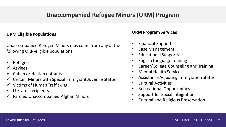# **Unaccompanied Refugee Minors (URM) Program**

### **URM Eligible Populations**

Unaccompanied Refugee Minors may come from any of the following ORR-eligible populations:

- **Refugees**
- ✓ Asylees
- $\checkmark$  Cuban or Haitian entrants
- $\checkmark$  Certain Minors with Special Immigrant Juvenile Status
- $\checkmark$  Victims of Human Trafficking
- $\checkmark$  U-Status recipients
- $\checkmark$  Paroled Unaccompanied Afghan Minors

### **URM Program Services**

- Financial Support
- Case Management
- Educational Supports
- English Language Training
- Career/College Counseling and Training
- Mental Health Services
- Assistance Adjusting Immigration Status
- Cultural Activities
- Recreational Opportunities
- Support for Social Integration
- Cultural and Religious Preservation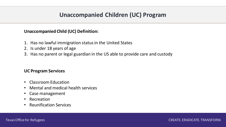# **Unaccompanied Children (UC) Program**

### **Unaccompanied Child (UC) Definition:**

- 1. Has no lawful immigration status in the United States
- 2. Is under 18 years of age
- 3. Has no parent or legal guardian in the US able to provide care and custody

### **UC Program Services**

- Classroom Education
- Mental and medical health services
- Case management
- Recreation
- Reunification Services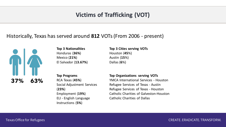# **Victims of Trafficking (VOT)**

# Historically, Texas has served around **812** VOTs (From 2006 - present)



**Top 3 Nationalities** Honduras (**36%**)

Mexico (**21%**) El Salvador (**13.67%**) **Top 3 Cities serving VOTs** Houston (**45**%) Austin (**15**%) Dallas (**6**%)

**Top Programs** RCA Texas (**45%**) Social Adjustment Services (**23%**) Employment (**19%**) ELI - English Language Instructions (**5%**)

### **Top Organizations serving VOTs**

YMCA International Services - Houston Refugee Services of Texas - Austin Refugee Services of Texas - Houston Catholic Charities of Galveston-Houston Catholic Charities of Dallas

Texas Office for Refugees CREATE. ERADICATE. TRANSFORM.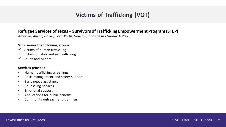# **Victims of Trafficking (VOT)**

### **Refugee Services of Texas – Survivors of Trafficking Empowerment Program (STEP)**

*Amarillo, Austin, Dallas, Fort Worth, Houston, and the Rio Grande Valley*

### **STEP serves the following groups:**

- $\checkmark$  Victims of human trafficking
- $\checkmark$  Victims of labor and sex trafficking
- ✓ Adults and Minors

### **Services provided:**

- Human trafficking screenings
- Crisis management and safety support
- Basic needs assistance
- Counseling services
- Emotional support
- Applications for public benefits
- Community outreach and trainings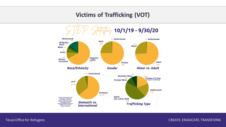# **Victims of Trafficking (VOT)**



Texas Office for Refugees and the control of the control of the case of the case of the case of the case of the case of the case of the case of the case of the case of the case of the case of the case of the case of the ca